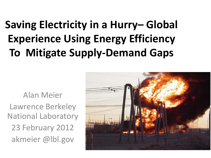## **Saving Electricity in a Hurry– Global Experience Using Energy Efficiency To Mitigate Supply-Demand Gaps**

Alan Meier Lawrence Berkeley National Laboratory 23 February 2012 akmeier @lbl.gov

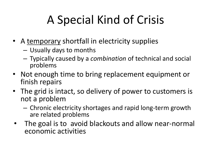# A Special Kind of Crisis

- A temporary shortfall in electricity supplies
	- Usually days to months
	- Typically caused by a *combination* of technical and social problems
- Not enough time to bring replacement equipment or finish repairs
- The grid is intact, so delivery of power to customers is not a problem
	- Chronic electricity shortages and rapid long-term growth are related problems
- The goal is to avoid blackouts and allow near-normal economic activities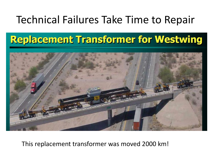#### Technical Failures Take Time to Repair

#### **Replacement Transformer for Westwing**



This replacement transformer was moved 2000 km!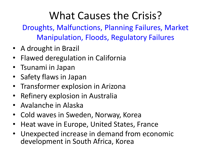#### What Causes the Crisis?

Droughts, Malfunctions, Planning Failures, Market Manipulation, Floods, Regulatory Failures

- A drought in Brazil
- Flawed deregulation in California
- Tsunami in Japan
- Safety flaws in Japan
- Transformer explosion in Arizona
- Refinery explosion in Australia
- Avalanche in Alaska
- Cold waves in Sweden, Norway, Korea
- Heat wave in Europe, United States, France
- Unexpected increase in demand from economic development in South Africa, Korea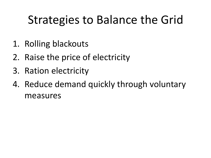## Strategies to Balance the Grid

- 1. Rolling blackouts
- 2. Raise the price of electricity
- 3. Ration electricity
- 4. Reduce demand quickly through voluntary measures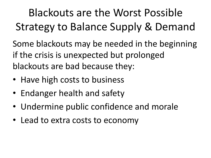Blackouts are the Worst Possible Strategy to Balance Supply & Demand

Some blackouts may be needed in the beginning if the crisis is unexpected but prolonged blackouts are bad because they:

- Have high costs to business
- Endanger health and safety
- Undermine public confidence and morale
- Lead to extra costs to economy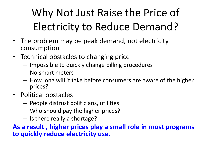## Why Not Just Raise the Price of Electricity to Reduce Demand?

- The problem may be peak demand, not electricity consumption
- Technical obstacles to changing price
	- Impossible to quickly change billing procedures
	- No smart meters
	- How long will it take before consumers are aware of the higher prices?
- Political obstacles
	- People distrust politicians, utilities
	- Who should pay the higher prices?
	- Is there really a shortage?

#### **As a result , higher prices play a small role in most programs to quickly reduce electricity use.**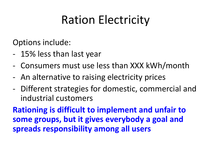## Ration Electricity

Options include:

- 15% less than last year
- Consumers must use less than XXX kWh/month
- An alternative to raising electricity prices
- Different strategies for domestic, commercial and industrial customers

**Rationing is difficult to implement and unfair to some groups, but it gives everybody a goal and spreads responsibility among all users**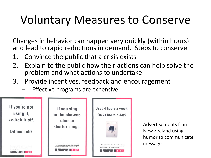## Voluntary Measures to Conserve

Changes in behavior can happen very quickly (within hours) and lead to rapid reductions in demand. Steps to conserve:

- 1. Convince the public that a crisis exists
- 2. Explain to the public how their actions can help solve the problem and what actions to undertake
- 3. Provide incentives, feedback and encouragement
	- Effective programs are expensive



Advertisements from New Zealand using humor to communicate message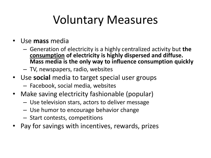## Voluntary Measures

- Use **mass** media
	- Generation of electricity is a highly centralized activity but **the consumption of electricity is highly dispersed and diffuse. Mass media is the only way to influence consumption quickly**

– TV, newspapers, radio, websites

- Use **social** media to target special user groups
	- Facebook, social media, websites
- Make saving electricity fashionable (popular)
	- Use television stars, actors to deliver message
	- Use humor to encourage behavior change
	- Start contests, competitions
- Pay for savings with incentives, rewards, prizes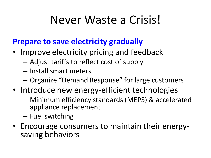#### Never Waste a Crisis!

#### **Prepare to save electricity gradually**

- Improve electricity pricing and feedback
	- Adjust tariffs to reflect cost of supply
	- Install smart meters
	- Organize "Demand Response" for large customers
- Introduce new energy-efficient technologies
	- Minimum efficiency standards (MEPS) & accelerated appliance replacement
	- Fuel switching
- Encourage consumers to maintain their energysaving behaviors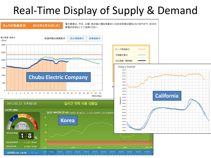#### Real-Time Display of Supply & Demand

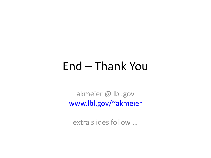#### End – Thank You

akmeier @ lbl.gov [www.lbl.gov/~akmeier](http://www.lbl.gov/~akmeier)

extra slides follow …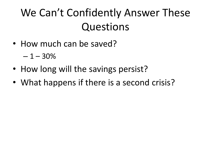#### We Can't Confidently Answer These Questions

• How much can be saved?

 $-1 - 30\%$ 

- How long will the savings persist?
- What happens if there is a second crisis?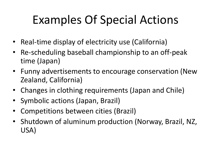## Examples Of Special Actions

- Real-time display of electricity use (California)
- Re-scheduling baseball championship to an off-peak time (Japan)
- Funny advertisements to encourage conservation (New Zealand, California)
- Changes in clothing requirements (Japan and Chile)
- Symbolic actions (Japan, Brazil)
- Competitions between cities (Brazil)
- Shutdown of aluminum production (Norway, Brazil, NZ, USA)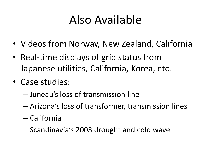## Also Available

- Videos from Norway, New Zealand, California
- Real-time displays of grid status from Japanese utilities, California, Korea, etc.
- Case studies:
	- Juneau's loss of transmission line
	- Arizona's loss of transformer, transmission lines
	- California
	- Scandinavia's 2003 drought and cold wave